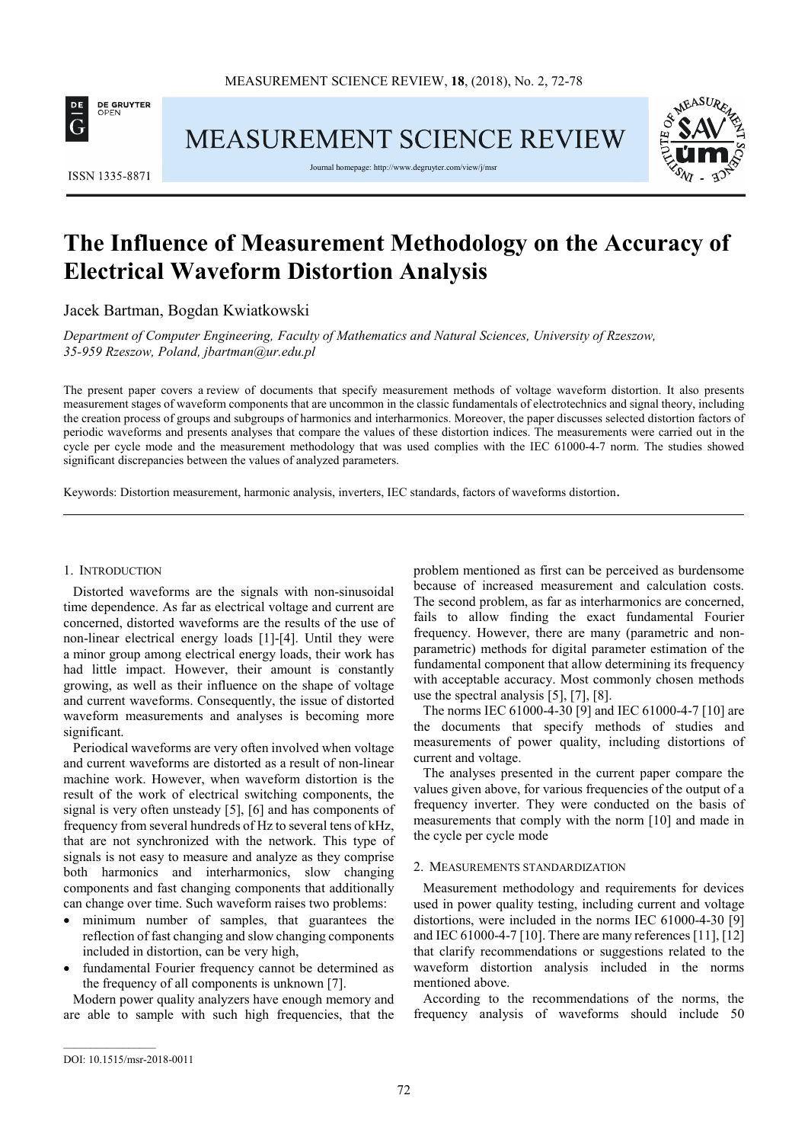

**MEASUREMENT SCIENCE REVIEW** 



**ISSN 1335-8871** 

Journal homepage: http://www.degruyter.com/view/j/msr

# **The Influence of Measurement Methodology on the Accuracy of Electrical Waveform Distortion Analysis**

Jacek Bartman, Bogdan Kwiatkowski

*Department of Computer Engineering, Faculty of Mathematics and Natural Sciences, University of Rzeszow, 35-959 Rzeszow, Poland, jbartman@ur.edu.pl*

The present paper covers a review of documents that specify measurement methods of voltage waveform distortion. It also presents measurement stages of waveform components that are uncommon in the classic fundamentals of electrotechnics and signal theory, including the creation process of groups and subgroups of harmonics and interharmonics. Moreover, the paper discusses selected distortion factors of periodic waveforms and presents analyses that compare the values of these distortion indices. The measurements were carried out in the cycle per cycle mode and the measurement methodology that was used complies with the IEC 61000-4-7 norm. The studies showed significant discrepancies between the values of analyzed parameters.

Keywords: Distortion measurement, harmonic analysis, inverters, IEC standards, factors of waveforms distortion.

## 1. INTRODUCTION

Distorted waveforms are the signals with non-sinusoidal time dependence. As far as electrical voltage and current are concerned, distorted waveforms are the results of the use of non-linear electrical energy loads [1]-[4]. Until they were a minor group among electrical energy loads, their work has had little impact. However, their amount is constantly growing, as well as their influence on the shape of voltage and current waveforms. Consequently, the issue of distorted waveform measurements and analyses is becoming more significant.

Periodical waveforms are very often involved when voltage and current waveforms are distorted as a result of non-linear machine work. However, when waveform distortion is the result of the work of electrical switching components, the signal is very often unsteady [5], [6] and has components of frequency from several hundreds of Hz to several tens of kHz, that are not synchronized with the network. This type of signals is not easy to measure and analyze as they comprise both harmonics and interharmonics, slow changing components and fast changing components that additionally can change over time. Such waveform raises two problems:

- minimum number of samples, that guarantees the reflection of fast changing and slow changing components included in distortion, can be very high,
- fundamental Fourier frequency cannot be determined as the frequency of all components is unknown [7].

Modern power quality analyzers have enough memory and are able to sample with such high frequencies, that the problem mentioned as first can be perceived as burdensome because of increased measurement and calculation costs. The second problem, as far as interharmonics are concerned, fails to allow finding the exact fundamental Fourier frequency. However, there are many (parametric and nonparametric) methods for digital parameter estimation of the fundamental component that allow determining its frequency with acceptable accuracy. Most commonly chosen methods use the spectral analysis [5], [7], [8].

The norms IEC 61000-4-30 [9] and IEC 61000-4-7 [10] are the documents that specify methods of studies and measurements of power quality, including distortions of current and voltage.

The analyses presented in the current paper compare the values given above, for various frequencies of the output of a frequency inverter. They were conducted on the basis of measurements that comply with the norm [10] and made in the cycle per cycle mode

# 2. MEASUREMENTS STANDARDIZATION

Measurement methodology and requirements for devices used in power quality testing, including current and voltage distortions, were included in the norms IEC 61000-4-30 [9] and IEC 61000-4-7 [10]. There are many references [11], [12] that clarify recommendations or suggestions related to the waveform distortion analysis included in the norms mentioned above.

According to the recommendations of the norms, the frequency analysis of waveforms should include 50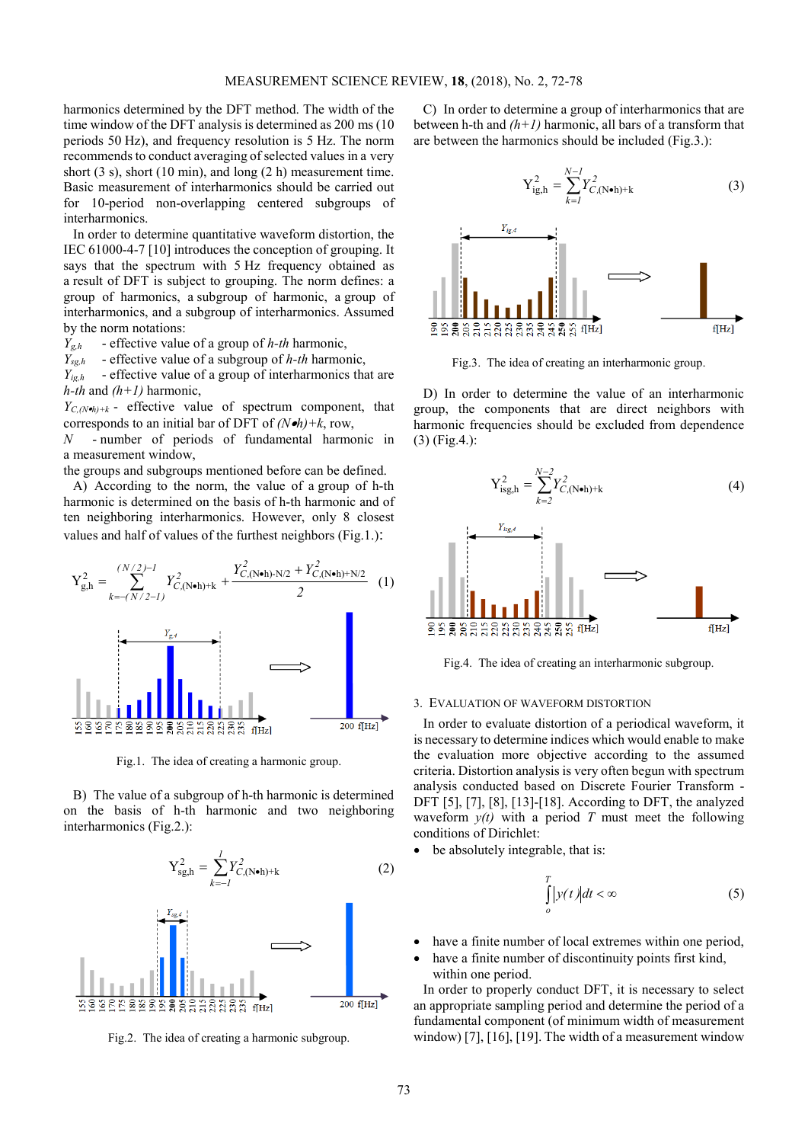harmonics determined by the DFT method. The width of the time window of the DFT analysis is determined as 200 ms (10 periods 50 Hz), and frequency resolution is 5 Hz. The norm recommends to conduct averaging of selected values in a very short (3 s), short (10 min), and long (2 h) measurement time. Basic measurement of interharmonics should be carried out for 10-period non-overlapping centered subgroups of interharmonics.

In order to determine quantitative waveform distortion, the IEC 61000-4-7 [10] introduces the conception of grouping. It says that the spectrum with 5 Hz frequency obtained as a result of DFT is subject to grouping. The norm defines: a group of harmonics, a subgroup of harmonic, a group of interharmonics, and a subgroup of interharmonics. Assumed by the norm notations:

*Yg,h* - effective value of a group of *h-th* harmonic,

*Ysg,h* - effective value of a subgroup of *h-th* harmonic,

*Yig,h* - effective value of a group of interharmonics that are *h-th* and *(h+1)* harmonic,

 $Y_{C,(N\bullet h)+k}$  - effective value of spectrum component, that corresponds to an initial bar of DFT of  $(N \cdot h) + k$ , row,

*N* - number of periods of fundamental harmonic in a measurement window,

the groups and subgroups mentioned before can be defined.

A) According to the norm, the value of a group of h-th harmonic is determined on the basis of h-th harmonic and of ten neighboring interharmonics. However, only 8 closest values and half of values of the furthest neighbors (Fig.1.):



Fig.1. The idea of creating a harmonic group.

B) The value of a subgroup of h-th harmonic is determined on the basis of h-th harmonic and two neighboring interharmonics (Fig.2.):



Fig.2. The idea of creating a harmonic subgroup.

C) In order to determine a group of interharmonics that are between h-th and *(h+1)* harmonic, all bars of a transform that are between the harmonics should be included (Fig.3.):





Fig.3. The idea of creating an interharmonic group.

D) In order to determine the value of an interharmonic group, the components that are direct neighbors with harmonic frequencies should be excluded from dependence (3) (Fig.4.):



Fig.4. The idea of creating an interharmonic subgroup.

#### 3. EVALUATION OF WAVEFORM DISTORTION

In order to evaluate distortion of a periodical waveform, it is necessary to determine indices which would enable to make the evaluation more objective according to the assumed criteria. Distortion analysis is very often begun with spectrum analysis conducted based on Discrete Fourier Transform - DFT [5], [7], [8], [13]-[18]. According to DFT, the analyzed waveform  $y(t)$  with a period *T* must meet the following conditions of Dirichlet:

be absolutely integrable, that is:

$$
\int_{o}^{T} |y(t)|dt < \infty
$$
\n(5)

- have a finite number of local extremes within one period,
- have a finite number of discontinuity points first kind, within one period.

In order to properly conduct DFT, it is necessary to select an appropriate sampling period and determine the period of a fundamental component (of minimum width of measurement window) [7], [16], [19]. The width of a measurement window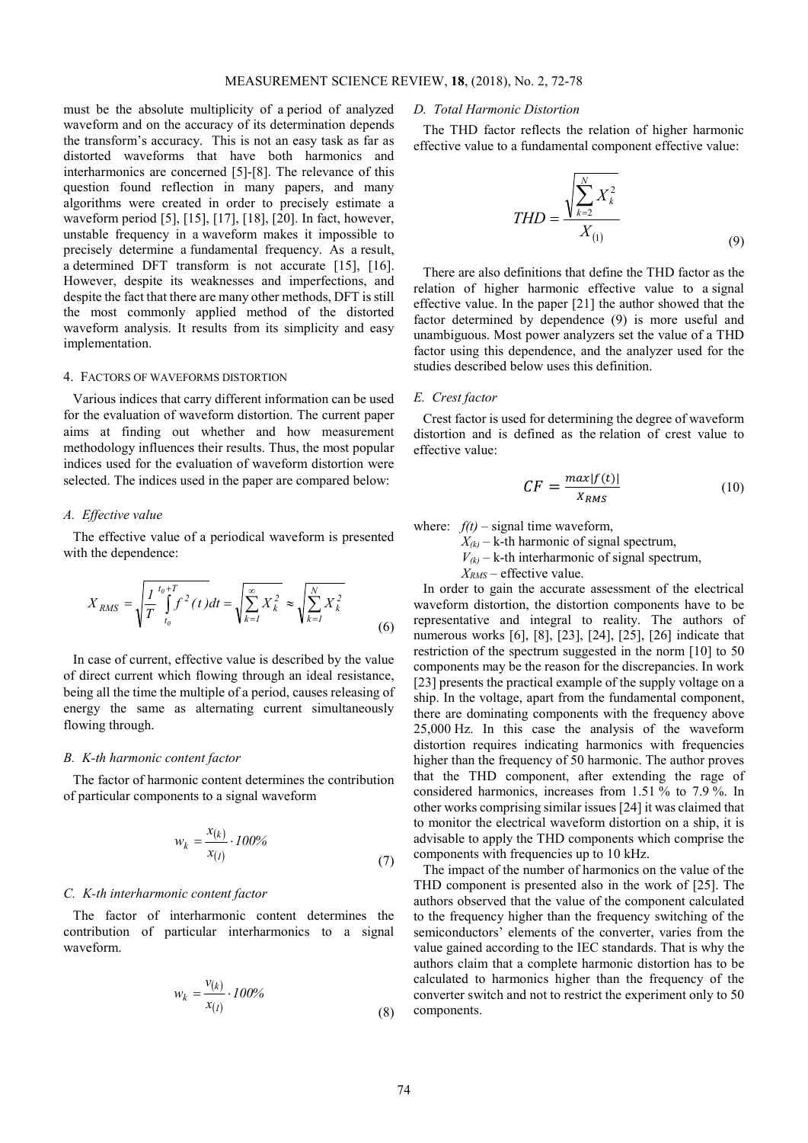must be the absolute multiplicity of a period of analyzed waveform and on the accuracy of its determination depends the transform's accuracy. This is not an easy task as far as distorted waveforms that have both harmonics and interharmonics are concerned [5]-[8]. The relevance of this question found reflection in many papers, and many algorithms were created in order to precisely estimate a waveform period [5], [15], [17], [18], [20]. In fact, however, unstable frequency in a waveform makes it impossible to precisely determine a fundamental frequency. As a result, a determined DFT transform is not accurate [15], [16]. However, despite its weaknesses and imperfections, and despite the fact that there are many other methods, DFT is still the most commonly applied method of the distorted waveform analysis. It results from its simplicity and easy implementation.

## 4. FACTORS OF WAVEFORMS DISTORTION

Various indices that carry different information can be used for the evaluation of waveform distortion. The current paper aims at finding out whether and how measurement methodology influences their results. Thus, the most popular indices used for the evaluation of waveform distortion were selected. The indices used in the paper are compared below:

## *A. Effective value*

The effective value of a periodical waveform is presented with the dependence:

$$
X_{RMS} = \sqrt{\frac{I}{T} \int_{t_0}^{t_0 + T} f^2(t) dt} = \sqrt{\sum_{k=1}^{\infty} X_k^2} \approx \sqrt{\sum_{k=1}^N X_k^2}
$$
(6)

In case of current, effective value is described by the value of direct current which flowing through an ideal resistance, being all the time the multiple of a period, causes releasing of energy the same as alternating current simultaneously flowing through.

## *B. K-th harmonic content factor*

The factor of harmonic content determines the contribution of particular components to a signal waveform

$$
w_k = \frac{x_{(k)}}{x_{(l)}} \cdot 100\%
$$
 (7)

#### *C. K-th interharmonic content factor*

The factor of interharmonic content determines the contribution of particular interharmonics to a signal waveform.

$$
w_k = \frac{v_{(k)}}{x_{(l)}} \cdot 100\%
$$
\n(8)

#### *D. Total Harmonic Distortion*

The THD factor reflects the relation of higher harmonic effective value to a fundamental component effective value:

$$
THD = \frac{\sqrt{\sum_{k=2}^{N} X_k^2}}{X_{(1)}}
$$
\n(9)

There are also definitions that define the THD factor as the relation of higher harmonic effective value to a signal effective value. In the paper [21] the author showed that the factor determined by dependence (9) is more useful and unambiguous. Most power analyzers set the value of a THD factor using this dependence, and the analyzer used for the studies described below uses this definition.

# *E. Crest factor*

Crest factor is used for determining the degree of waveform distortion and is defined as the relation of crest value to effective value:

$$
CF = \frac{max|f(t)|}{X_{RMS}}
$$
 (10)

where:  $f(t)$  – signal time waveform,

 $X_{(k)}$  – k-th harmonic of signal spectrum,

 $V_{(k)}$  – k-th interharmonic of signal spectrum,

*XRMS* – effective value.

In order to gain the accurate assessment of the electrical waveform distortion, the distortion components have to be representative and integral to reality. The authors of numerous works [6], [8], [23], [24], [25], [26] indicate that restriction of the spectrum suggested in the norm [10] to 50 components may be the reason for the discrepancies. In work [23] presents the practical example of the supply voltage on a ship. In the voltage, apart from the fundamental component, there are dominating components with the frequency above 25,000 Hz. In this case the analysis of the waveform distortion requires indicating harmonics with frequencies higher than the frequency of 50 harmonic. The author proves that the THD component, after extending the rage of considered harmonics, increases from 1.51 % to 7.9 %. In other works comprising similar issues [24] it was claimed that to monitor the electrical waveform distortion on a ship, it is advisable to apply the THD components which comprise the components with frequencies up to 10 kHz.

The impact of the number of harmonics on the value of the THD component is presented also in the work of [25]. The authors observed that the value of the component calculated to the frequency higher than the frequency switching of the semiconductors' elements of the converter, varies from the value gained according to the IEC standards. That is why the authors claim that a complete harmonic distortion has to be calculated to harmonics higher than the frequency of the converter switch and not to restrict the experiment only to 50 components.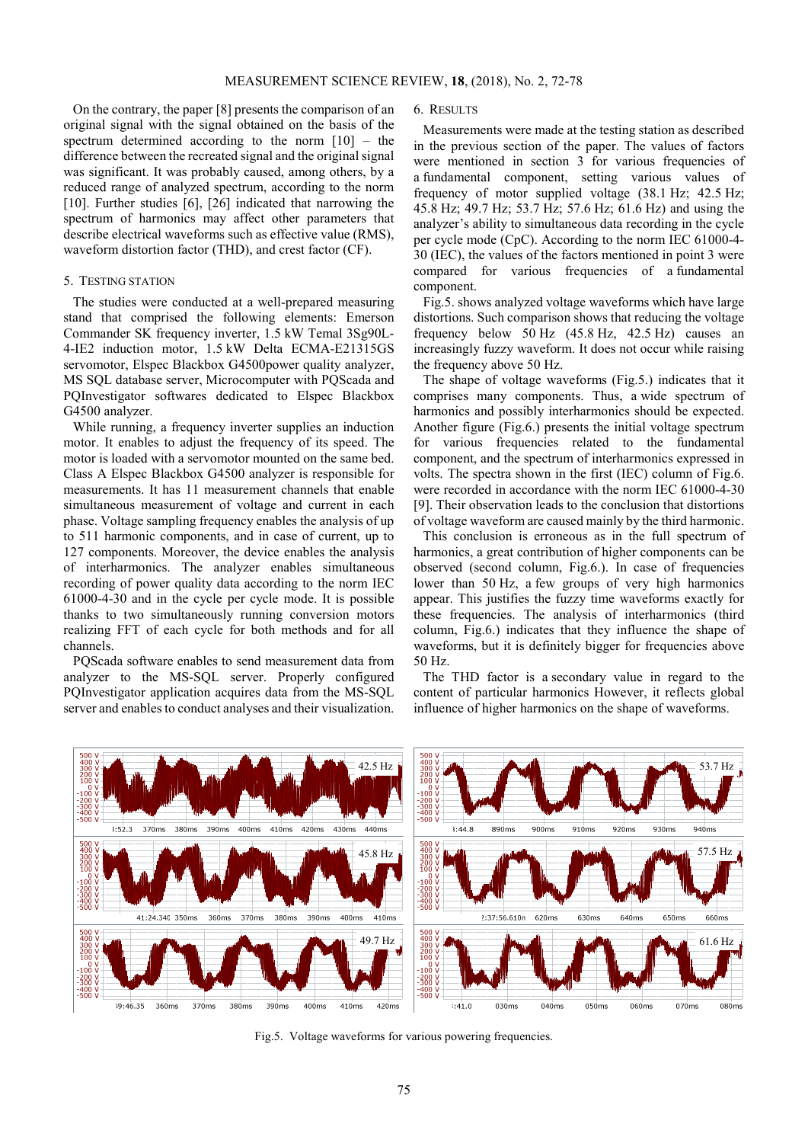On the contrary, the paper [8] presents the comparison of an original signal with the signal obtained on the basis of the spectrum determined according to the norm [10] – the difference between the recreated signal and the original signal was significant. It was probably caused, among others, by a reduced range of analyzed spectrum, according to the norm [10]. Further studies [6], [26] indicated that narrowing the spectrum of harmonics may affect other parameters that describe electrical waveforms such as effective value (RMS), waveform distortion factor (THD), and crest factor (CF).

# 5. TESTING STATION

The studies were conducted at a well-prepared measuring stand that comprised the following elements: Emerson Commander SK frequency inverter, 1.5 kW Temal 3Sg90L-4-IE2 induction motor, 1.5 kW Delta ECMA-E21315GS servomotor, Elspec Blackbox G4500power quality analyzer, MS SQL database server, Microcomputer with PQScada and PQInvestigator softwares dedicated to Elspec Blackbox G4500 analyzer.

While running, a frequency inverter supplies an induction motor. It enables to adjust the frequency of its speed. The motor is loaded with a servomotor mounted on the same bed. Class A Elspec Blackbox G4500 analyzer is responsible for measurements. It has 11 measurement channels that enable simultaneous measurement of voltage and current in each phase. Voltage sampling frequency enables the analysis of up to 511 harmonic components, and in case of current, up to 127 components. Moreover, the device enables the analysis of interharmonics. The analyzer enables simultaneous recording of power quality data according to the norm IEC 61000-4-30 and in the cycle per cycle mode. It is possible thanks to two simultaneously running conversion motors realizing FFT of each cycle for both methods and for all channels.

PQScada software enables to send measurement data from analyzer to the MS-SQL server. Properly configured PQInvestigator application acquires data from the MS-SQL server and enables to conduct analyses and their visualization.

#### 6. RESULTS

Measurements were made at the testing station as described in the previous section of the paper. The values of factors were mentioned in section 3 for various frequencies of a fundamental component, setting various values of frequency of motor supplied voltage (38.1 Hz; 42.5 Hz; 45.8 Hz; 49.7 Hz; 53.7 Hz; 57.6 Hz; 61.6 Hz) and using the analyzer's ability to simultaneous data recording in the cycle per cycle mode (CpC). According to the norm IEC 61000-4- 30 (IEC), the values of the factors mentioned in point 3 were compared for various frequencies of a fundamental component.

Fig.5. shows analyzed voltage waveforms which have large distortions. Such comparison shows that reducing the voltage frequency below 50 Hz (45.8 Hz, 42.5 Hz) causes an increasingly fuzzy waveform. It does not occur while raising the frequency above 50 Hz.

The shape of voltage waveforms (Fig.5.) indicates that it comprises many components. Thus, a wide spectrum of harmonics and possibly interharmonics should be expected. Another figure (Fig.6.) presents the initial voltage spectrum for various frequencies related to the fundamental component, and the spectrum of interharmonics expressed in volts. The spectra shown in the first (IEC) column of Fig.6. were recorded in accordance with the norm IEC 61000-4-30 [9]. Their observation leads to the conclusion that distortions of voltage waveform are caused mainly by the third harmonic.

This conclusion is erroneous as in the full spectrum of harmonics, a great contribution of higher components can be observed (second column, Fig.6.). In case of frequencies lower than 50 Hz, a few groups of very high harmonics appear. This justifies the fuzzy time waveforms exactly for these frequencies. The analysis of interharmonics (third column, Fig.6.) indicates that they influence the shape of waveforms, but it is definitely bigger for frequencies above 50 Hz.

The THD factor is a secondary value in regard to the content of particular harmonics However, it reflects global influence of higher harmonics on the shape of waveforms.



Fig.5. Voltage waveforms for various powering frequencies.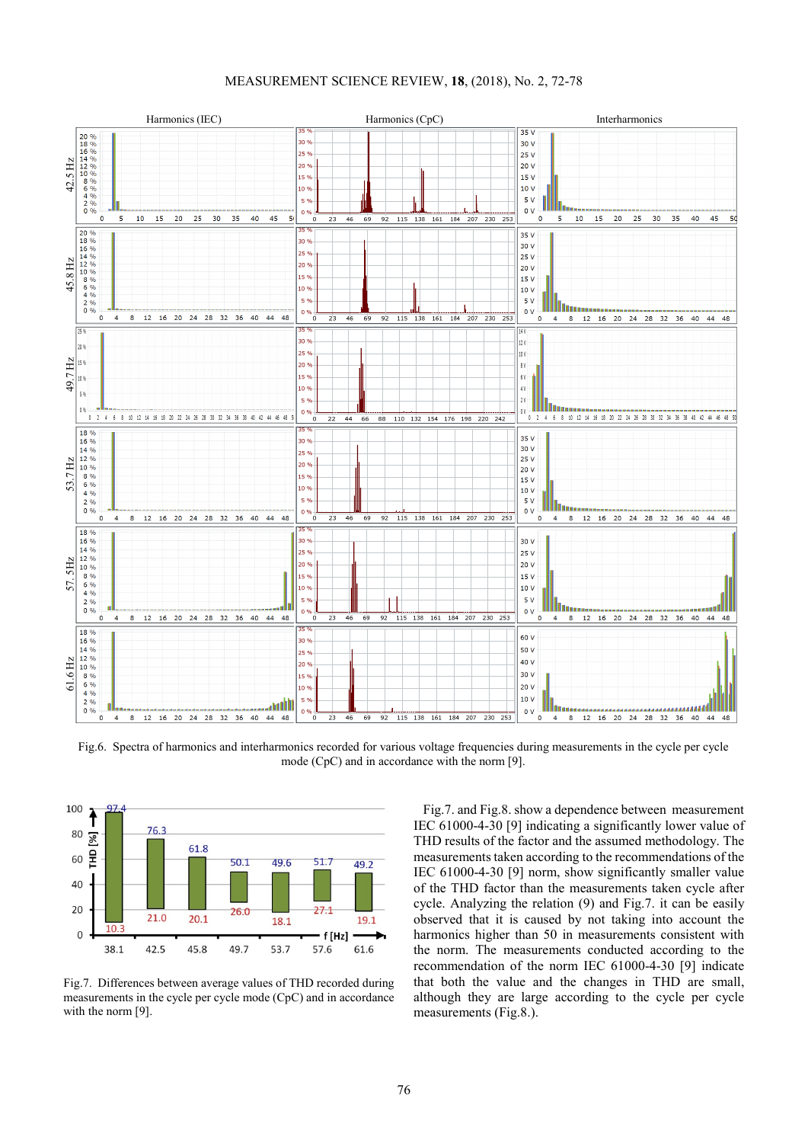

# MEASUREMENT SCIENCE REVIEW, **18**, (2018), No. 2, 72-78

Fig.6. Spectra of harmonics and interharmonics recorded for various voltage frequencies during measurements in the cycle per cycle mode (CpC) and in accordance with the norm [9].



Fig.7. Differences between average values of THD recorded during measurements in the cycle per cycle mode (CpC) and in accordance with the norm [9].

Fig.7. and Fig.8. show a dependence between measurement IEC 61000-4-30 [9] indicating a significantly lower value of THD results of the factor and the assumed methodology. The measurements taken according to the recommendations of the IEC 61000-4-30 [9] norm, show significantly smaller value of the THD factor than the measurements taken cycle after cycle. Analyzing the relation (9) and Fig.7. it can be easily observed that it is caused by not taking into account the harmonics higher than 50 in measurements consistent with the norm. The measurements conducted according to the recommendation of the norm IEC 61000-4-30 [9] indicate that both the value and the changes in THD are small, although they are large according to the cycle per cycle measurements (Fig.8.).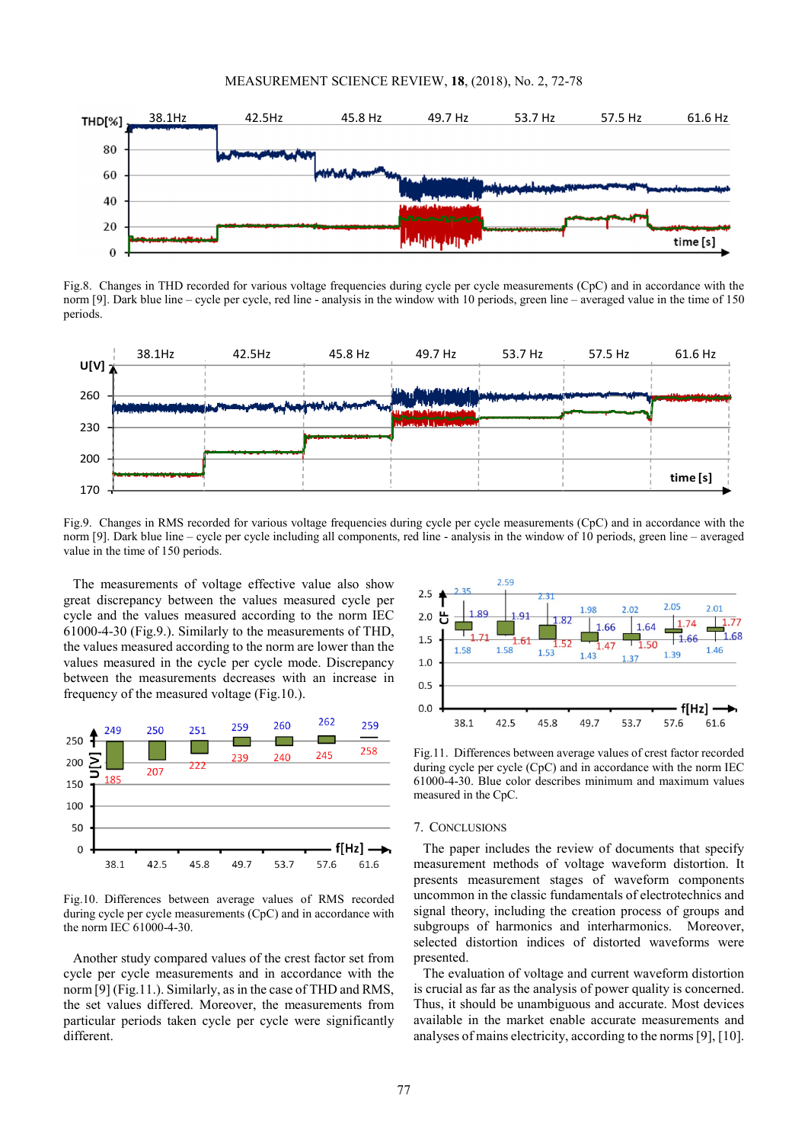

Fig.8. Changes in THD recorded for various voltage frequencies during cycle per cycle measurements (CpC) and in accordance with the norm [9]. Dark blue line – cycle per cycle, red line - analysis in the window with 10 periods, green line – averaged value in the time of 150 periods.



Fig.9. Changes in RMS recorded for various voltage frequencies during cycle per cycle measurements (CpC) and in accordance with the norm [9]. Dark blue line – cycle per cycle including all components, red line - analysis in the window of 10 periods, green line – averaged value in the time of 150 periods.

The measurements of voltage effective value also show great discrepancy between the values measured cycle per cycle and the values measured according to the norm IEC 61000-4-30 (Fig.9.). Similarly to the measurements of THD, the values measured according to the norm are lower than the values measured in the cycle per cycle mode. Discrepancy between the measurements decreases with an increase in frequency of the measured voltage (Fig.10.).



Fig.10. Differences between average values of RMS recorded during cycle per cycle measurements (CpC) and in accordance with the norm IEC 61000-4-30.

Another study compared values of the crest factor set from cycle per cycle measurements and in accordance with the norm [9] (Fig.11.). Similarly, as in the case of THD and RMS, the set values differed. Moreover, the measurements from particular periods taken cycle per cycle were significantly different.



Fig.11. Differences between average values of crest factor recorded during cycle per cycle (CpC) and in accordance with the norm IEC 61000-4-30. Blue color describes minimum and maximum values measured in the CpC.

#### 7. CONCLUSIONS

The paper includes the review of documents that specify measurement methods of voltage waveform distortion. It presents measurement stages of waveform components uncommon in the classic fundamentals of electrotechnics and signal theory, including the creation process of groups and subgroups of harmonics and interharmonics. Moreover, selected distortion indices of distorted waveforms were presented.

The evaluation of voltage and current waveform distortion is crucial as far as the analysis of power quality is concerned. Thus, it should be unambiguous and accurate. Most devices available in the market enable accurate measurements and analyses of mains electricity, according to the norms [9], [10].